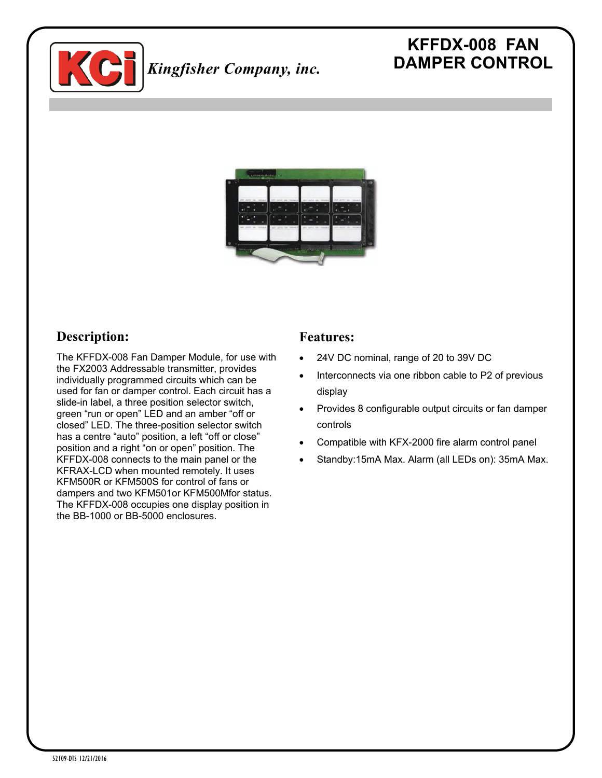

# **KFFDX-008 FAN DAMPER CONTROL**



## **Description:**

The KFFDX-008 Fan Damper Module, for use with the FX2003 Addressable transmitter, provides individually programmed circuits which can be used for fan or damper control. Each circuit has a slide-in label, a three position selector switch, green "run or open" LED and an amber "off or closed" LED. The three-position selector switch has a centre "auto" position, a left "off or close" position and a right "on or open" position. The KFFDX-008 connects to the main panel or the KFRAX-LCD when mounted remotely. It uses KFM500R or KFM500S for control of fans or dampers and two KFM501or KFM500Mfor status. The KFFDX-008 occupies one display position in the BB-1000 or BB-5000 enclosures.

#### **Features:**

- 24V DC nominal, range of 20 to 39V DC
- Interconnects via one ribbon cable to P2 of previous display
- Provides 8 configurable output circuits or fan damper controls
- Compatible with KFX-2000 fire alarm control panel
- Standby:15mA Max. Alarm (all LEDs on): 35mA Max.